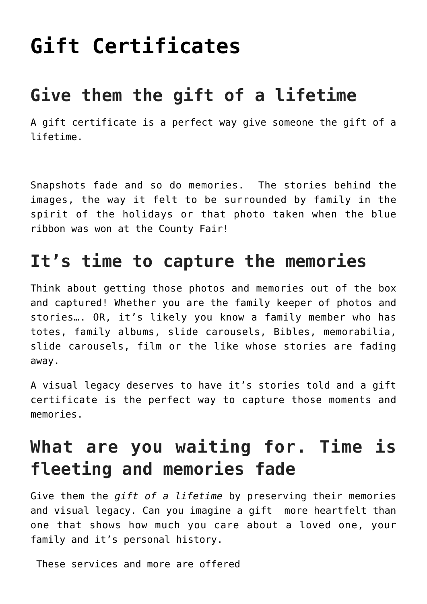## **[Gift Certificates](https://mybeautifullifestory.com/services/price-guide-2021/store/)**

## **Give them the gift of a lifetime**

A gift certificate is a perfect way give someone the gift of a lifetime.

Snapshots fade and so do memories. The stories behind the images, the way it felt to be surrounded by family in the spirit of the holidays or that photo taken when the blue ribbon was won at the County Fair!

## **It's time to capture the memories**

Think about getting those photos and memories out of the box and captured! Whether you are the family keeper of photos and stories…. OR, it's likely you know a family member who has totes, family albums, slide carousels, Bibles, memorabilia, slide carousels, film or the like whose stories are fading away.

A visual legacy deserves to have it's stories told and a gift certificate is the perfect way to capture those moments and memories.

## **What are you waiting for. Time is fleeting and memories fade**

Give them the *gift of a lifetime* by preserving their memories and visual legacy. Can you imagine a gift more heartfelt than one that shows how much you care about a loved one, your family and it's personal history.

These services and more are offered